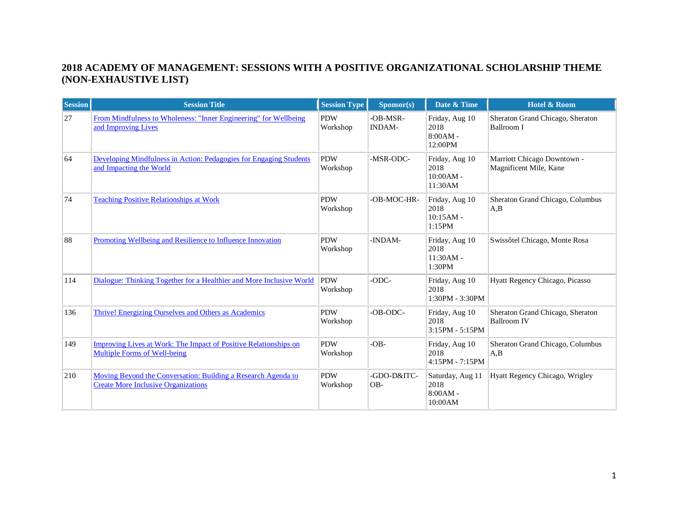## **2018 ACADEMY OF MANAGEMENT: SESSIONS WITH A POSITIVE ORGANIZATIONAL SCHOLARSHIP THEME (NON-EXHAUSTIVE LIST)**

| <b>Session</b> | <b>Session Title</b>                                                                                           | <b>Session Type</b>    | Sponsor(s)                | Date & Time                                       | Hotel & Room                                           |
|----------------|----------------------------------------------------------------------------------------------------------------|------------------------|---------------------------|---------------------------------------------------|--------------------------------------------------------|
| 27             | From Mindfulness to Wholeness: "Inner Engineering" for Wellbeing<br>and Improving Lives                        | <b>PDW</b><br>Workshop | -OB-MSR-<br><b>INDAM-</b> | Friday, Aug 10<br>2018<br>$8:00AM -$<br>12:00PM   | Sheraton Grand Chicago, Sheraton<br><b>Ballroom I</b>  |
| 64             | Developing Mindfulness in Action: Pedagogies for Engaging Students<br>and Impacting the World                  | <b>PDW</b><br>Workshop | -MSR-ODC-                 | Friday, Aug 10<br>2018<br>$10:00AM -$<br>11:30AM  | Marriott Chicago Downtown -<br>Magnificent Mile, Kane  |
| 74             | <b>Teaching Positive Relationships at Work</b>                                                                 | <b>PDW</b><br>Workshop | -OB-MOC-HR-               | Friday, Aug 10<br>2018<br>$10:15AM -$<br>1:15PM   | Sheraton Grand Chicago, Columbus<br>A,B                |
| 88             | Promoting Wellbeing and Resilience to Influence Innovation                                                     | <b>PDW</b><br>Workshop | -INDAM-                   | Friday, Aug 10<br>2018<br>$11:30AM -$<br>1:30PM   | Swissôtel Chicago, Monte Rosa                          |
| 114            | Dialogue: Thinking Together for a Healthier and More Inclusive World                                           | <b>PDW</b><br>Workshop | -ODC-                     | Friday, Aug 10<br>2018<br>1:30PM - 3:30PM         | Hyatt Regency Chicago, Picasso                         |
| 136            | Thrive! Energizing Ourselves and Others as Academics                                                           | <b>PDW</b><br>Workshop | -OB-ODC-                  | Friday, Aug 10<br>2018<br>3:15PM - 5:15PM         | Sheraton Grand Chicago, Sheraton<br><b>Ballroom IV</b> |
| 149            | <b>Improving Lives at Work: The Impact of Positive Relationships on</b><br><b>Multiple Forms of Well-being</b> | <b>PDW</b><br>Workshop | $-OB-$                    | Friday, Aug 10<br>2018<br>4:15PM - 7:15PM         | Sheraton Grand Chicago, Columbus<br>A.B                |
| 210            | Moving Beyond the Conversation: Building a Research Agenda to<br><b>Create More Inclusive Organizations</b>    | <b>PDW</b><br>Workshop | -GDO-D&ITC-<br>OB-        | Saturday, Aug 11<br>2018<br>$8:00AM -$<br>10:00AM | Hyatt Regency Chicago, Wrigley                         |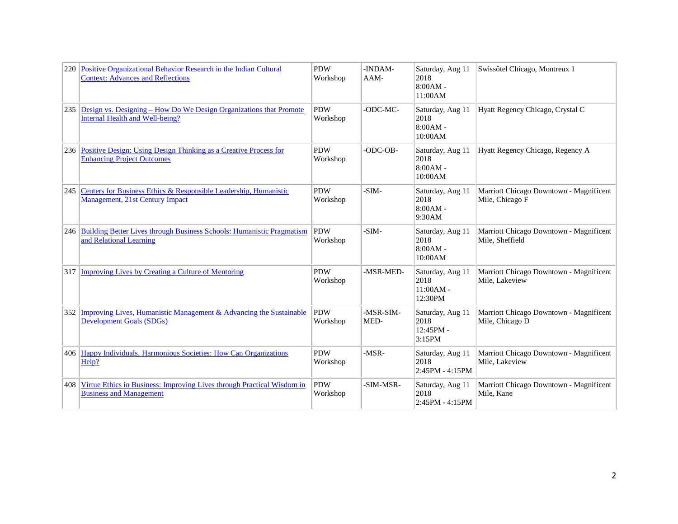| 220 | Positive Organizational Behavior Research in the Indian Cultural<br><b>Context: Advances and Reflections</b> | <b>PDW</b><br>Workshop | -INDAM-<br>AAM-   | Saturday, Aug 11<br>2018<br>$8:00AM -$<br>11:00AM  | Swissôtel Chicago, Montreux 1                              |
|-----|--------------------------------------------------------------------------------------------------------------|------------------------|-------------------|----------------------------------------------------|------------------------------------------------------------|
| 235 | Design vs. Designing – How Do We Design Organizations that Promote<br>Internal Health and Well-being?        | <b>PDW</b><br>Workshop | -ODC-MC-          | Saturday, Aug 11<br>2018<br>$8:00AM -$<br>10:00AM  | Hyatt Regency Chicago, Crystal C                           |
|     | 236 Positive Design: Using Design Thinking as a Creative Process for<br><b>Enhancing Project Outcomes</b>    | <b>PDW</b><br>Workshop | -ODC-OB-          | Saturday, Aug 11<br>2018<br>$8:00AM -$<br>10:00AM  | Hyatt Regency Chicago, Regency A                           |
|     | 245 Centers for Business Ethics & Responsible Leadership, Humanistic<br>Management, 21st Century Impact      | <b>PDW</b><br>Workshop | $-SIM-$           | Saturday, Aug 11<br>2018<br>$8:00AM -$<br>9:30AM   | Marriott Chicago Downtown - Magnificent<br>Mile, Chicago F |
|     | 246 Building Better Lives through Business Schools: Humanistic Pragmatism<br>and Relational Learning         | <b>PDW</b><br>Workshop | $-SIM-$           | Saturday, Aug 11<br>2018<br>$8:00AM -$<br>10:00AM  | Marriott Chicago Downtown - Magnificent<br>Mile, Sheffield |
|     | 317 Improving Lives by Creating a Culture of Mentoring                                                       | <b>PDW</b><br>Workshop | -MSR-MED-         | Saturday, Aug 11<br>2018<br>$11:00AM -$<br>12:30PM | Marriott Chicago Downtown - Magnificent<br>Mile, Lakeview  |
|     | 352 Improving Lives, Humanistic Management & Advancing the Sustainable<br><b>Development Goals (SDGs)</b>    | <b>PDW</b><br>Workshop | -MSR-SIM-<br>MED- | Saturday, Aug 11<br>2018<br>12:45PM -<br>3:15PM    | Marriott Chicago Downtown - Magnificent<br>Mile, Chicago D |
|     | 406 Happy Individuals, Harmonious Societies: How Can Organizations<br>Help?                                  | <b>PDW</b><br>Workshop | $-MSR-$           | Saturday, Aug 11<br>2018<br>2:45PM - 4:15PM        | Marriott Chicago Downtown - Magnificent<br>Mile, Lakeview  |
| 408 | Virtue Ethics in Business: Improving Lives through Practical Wisdom in<br><b>Business and Management</b>     | <b>PDW</b><br>Workshop | -SIM-MSR-         | Saturday, Aug 11<br>2018<br>2:45PM - 4:15PM        | Marriott Chicago Downtown - Magnificent<br>Mile, Kane      |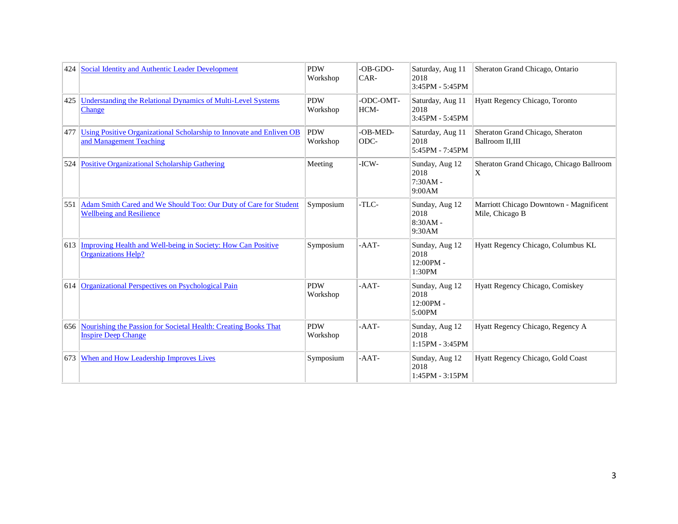| 424 | Social Identity and Authentic Leader Development                                                    | <b>PDW</b><br>Workshop | -OB-GDO-<br>CAR-  | Saturday, Aug 11<br>2018<br>3:45PM - 5:45PM    | Sheraton Grand Chicago, Ontario                            |
|-----|-----------------------------------------------------------------------------------------------------|------------------------|-------------------|------------------------------------------------|------------------------------------------------------------|
| 425 | Understanding the Relational Dynamics of Multi-Level Systems<br>Change                              | <b>PDW</b><br>Workshop | -ODC-OMT-<br>HCM- | Saturday, Aug 11<br>2018<br>3:45PM - 5:45PM    | Hyatt Regency Chicago, Toronto                             |
| 477 | Using Positive Organizational Scholarship to Innovate and Enliven OB<br>and Management Teaching     | <b>PDW</b><br>Workshop | -OB-MED-<br>ODC-  | Saturday, Aug 11<br>2018<br>5:45PM - 7:45PM    | Sheraton Grand Chicago, Sheraton<br>Ballroom II.III        |
| 524 | <b>Positive Organizational Scholarship Gathering</b>                                                | Meeting                | $-ICW-$           | Sunday, Aug 12<br>2018<br>7:30AM -<br>9:00AM   | Sheraton Grand Chicago, Chicago Ballroom<br>X              |
| 551 | Adam Smith Cared and We Should Too: Our Duty of Care for Student<br><b>Wellbeing and Resilience</b> | Symposium              | -TLC-             | Sunday, Aug 12<br>2018<br>$8:30AM -$<br>9:30AM | Marriott Chicago Downtown - Magnificent<br>Mile, Chicago B |
| 613 | Improving Health and Well-being in Society: How Can Positive<br><b>Organizations Help?</b>          | Symposium              | -AAT-             | Sunday, Aug 12<br>2018<br>12:00PM -<br>1:30PM  | Hyatt Regency Chicago, Columbus KL                         |
| 614 | Organizational Perspectives on Psychological Pain                                                   | <b>PDW</b><br>Workshop | $-AAT-$           | Sunday, Aug 12<br>2018<br>12:00PM -<br>5:00PM  | Hyatt Regency Chicago, Comiskey                            |
| 656 | Nourishing the Passion for Societal Health: Creating Books That<br><b>Inspire Deep Change</b>       | <b>PDW</b><br>Workshop | $-AAT-$           | Sunday, Aug 12<br>2018<br>1:15PM - 3:45PM      | Hyatt Regency Chicago, Regency A                           |
| 673 | When and How Leadership Improves Lives                                                              | Symposium              | $-AAT-$           | Sunday, Aug 12<br>2018<br>1:45PM - 3:15PM      | Hyatt Regency Chicago, Gold Coast                          |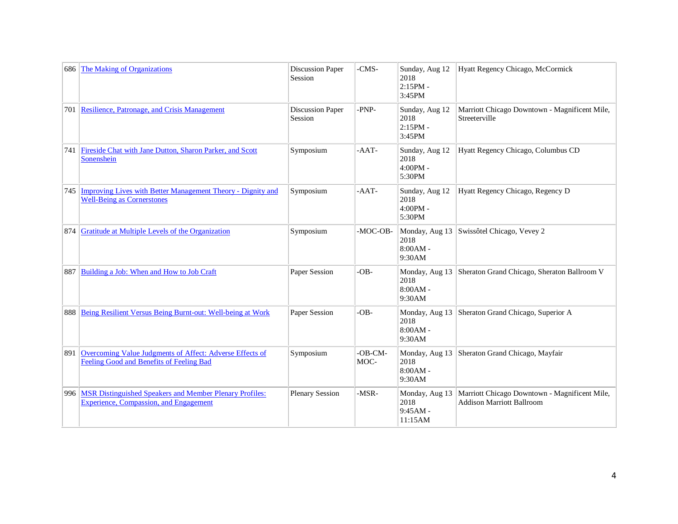| 686 | The Making of Organizations                                                                                     | <b>Discussion Paper</b><br>Session | -CMS-           | Sunday, Aug 12<br>2018<br>$2:15PM -$<br>3:45PM | Hyatt Regency Chicago, McCormick                                                  |
|-----|-----------------------------------------------------------------------------------------------------------------|------------------------------------|-----------------|------------------------------------------------|-----------------------------------------------------------------------------------|
|     | 701 Resilience, Patronage, and Crisis Management                                                                | <b>Discussion Paper</b><br>Session | -PNP-           | Sunday, Aug 12<br>2018<br>$2:15PM -$<br>3:45PM | Marriott Chicago Downtown - Magnificent Mile,<br>Streeterville                    |
| 741 | Fireside Chat with Jane Dutton, Sharon Parker, and Scott<br>Sonenshein                                          | Symposium                          | $-AAT-$         | Sunday, Aug 12<br>2018<br>$4:00PM -$<br>5:30PM | Hyatt Regency Chicago, Columbus CD                                                |
| 745 | Improving Lives with Better Management Theory - Dignity and<br><b>Well-Being as Cornerstones</b>                | Symposium                          | $-AAT-$         | Sunday, Aug 12<br>2018<br>$4:00PM -$<br>5:30PM | Hyatt Regency Chicago, Regency D                                                  |
| 874 | <b>Gratitude at Multiple Levels of the Organization</b>                                                         | Symposium                          | -MOC-OB-        | Monday, Aug 13<br>2018<br>$8:00AM -$<br>9:30AM | Swissôtel Chicago, Vevey 2                                                        |
| 887 | Building a Job: When and How to Job Craft                                                                       | Paper Session                      | $-OB$ -         | Monday, Aug 13<br>2018<br>$8:00AM -$<br>9:30AM | Sheraton Grand Chicago, Sheraton Ballroom V                                       |
|     | 888 Being Resilient Versus Being Burnt-out: Well-being at Work                                                  | Paper Session                      | $-OB -$         | Monday, Aug 13<br>2018<br>$8:00AM -$<br>9:30AM | Sheraton Grand Chicago, Superior A                                                |
| 891 | Overcoming Value Judgments of Affect: Adverse Effects of<br>Feeling Good and Benefits of Feeling Bad            | Symposium                          | -OB-CM-<br>MOC- | Monday, Aug 13<br>2018<br>$8:00AM -$<br>9:30AM | Sheraton Grand Chicago, Mayfair                                                   |
| 996 | <b>MSR Distinguished Speakers and Member Plenary Profiles:</b><br><b>Experience, Compassion, and Engagement</b> | <b>Plenary Session</b>             | $-MSR-$         | Monday, Aug 13<br>2018<br>9:45AM -<br>11:15AM  | Marriott Chicago Downtown - Magnificent Mile,<br><b>Addison Marriott Ballroom</b> |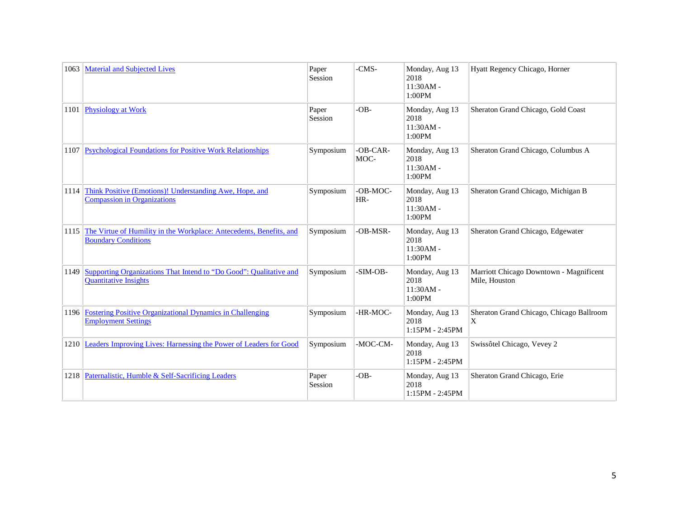| 1063 | <b>Material and Subjected Lives</b>                                                                | Paper<br>Session | -CMS-            | Monday, Aug 13<br>2018<br>11:30AM -<br>1:00PM   | Hyatt Regency Chicago, Horner                            |
|------|----------------------------------------------------------------------------------------------------|------------------|------------------|-------------------------------------------------|----------------------------------------------------------|
|      | 1101 Physiology at Work                                                                            | Paper<br>Session | $-OB -$          | Monday, Aug 13<br>2018<br>$11:30AM -$<br>1:00PM | Sheraton Grand Chicago, Gold Coast                       |
|      | 1107 Psychological Foundations for Positive Work Relationships                                     | Symposium        | -OB-CAR-<br>MOC- | Monday, Aug 13<br>2018<br>$11:30AM -$<br>1:00PM | Sheraton Grand Chicago, Columbus A                       |
| 1114 | Think Positive (Emotions)! Understanding Awe, Hope, and<br><b>Compassion in Organizations</b>      | Symposium        | -OB-MOC-<br>HR-  | Monday, Aug 13<br>2018<br>$11:30AM -$<br>1:00PM | Sheraton Grand Chicago, Michigan B                       |
| 1115 | The Virtue of Humility in the Workplace: Antecedents, Benefits, and<br><b>Boundary Conditions</b>  | Symposium        | -OB-MSR-         | Monday, Aug 13<br>2018<br>$11:30AM -$<br>1:00PM | Sheraton Grand Chicago, Edgewater                        |
| 1149 | Supporting Organizations That Intend to "Do Good": Qualitative and<br><b>Quantitative Insights</b> | Symposium        | -SIM-OB-         | Monday, Aug 13<br>2018<br>$11:30AM -$<br>1:00PM | Marriott Chicago Downtown - Magnificent<br>Mile, Houston |
|      | 1196 Fostering Positive Organizational Dynamics in Challenging<br><b>Employment Settings</b>       | Symposium        | -HR-MOC-         | Monday, Aug 13<br>2018<br>1:15PM - 2:45PM       | Sheraton Grand Chicago, Chicago Ballroom<br>X            |
|      | 1210 Leaders Improving Lives: Harnessing the Power of Leaders for Good                             | Symposium        | -MOC-CM-         | Monday, Aug 13<br>2018<br>1:15PM - 2:45PM       | Swissôtel Chicago, Vevey 2                               |
|      | 1218 Paternalistic, Humble & Self-Sacrificing Leaders                                              | Paper<br>Session | $-OB -$          | Monday, Aug 13<br>2018<br>1:15PM - 2:45PM       | Sheraton Grand Chicago, Erie                             |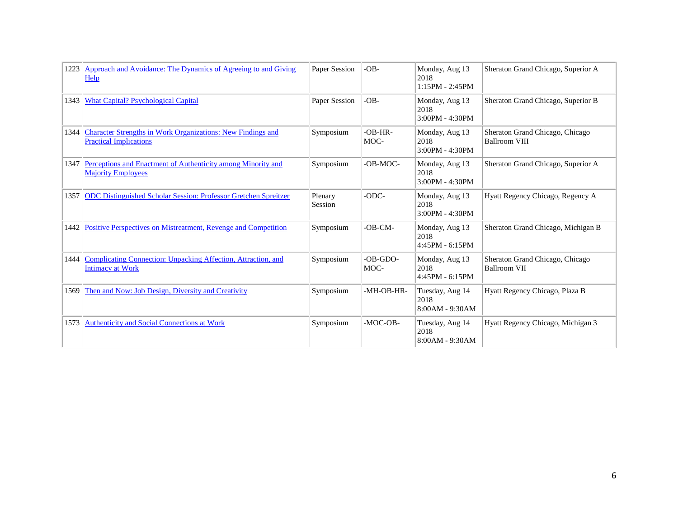| 1223 | Approach and Avoidance: The Dynamics of Agreeing to and Giving<br>Help                              | Paper Session      | $-OB -$            | Monday, Aug 13<br>2018<br>$1:15PM - 2:45PM$ | Sheraton Grand Chicago, Superior A                      |
|------|-----------------------------------------------------------------------------------------------------|--------------------|--------------------|---------------------------------------------|---------------------------------------------------------|
| 1343 | <b>What Capital? Psychological Capital</b>                                                          | Paper Session      | $-OB -$            | Monday, Aug 13<br>2018<br>3:00PM - 4:30PM   | Sheraton Grand Chicago, Superior B                      |
| 1344 | <b>Character Strengths in Work Organizations: New Findings and</b><br><b>Practical Implications</b> | Symposium          | $-OB-HR$ -<br>MOC- | Monday, Aug 13<br>2018<br>3:00PM - 4:30PM   | Sheraton Grand Chicago, Chicago<br><b>Ballroom VIII</b> |
| 1347 | Perceptions and Enactment of Authenticity among Minority and<br><b>Majority Employees</b>           | Symposium          | -OB-MOC-           | Monday, Aug 13<br>2018<br>3:00PM - 4:30PM   | Sheraton Grand Chicago, Superior A                      |
| 1357 | ODC Distinguished Scholar Session: Professor Gretchen Spreitzer                                     | Plenary<br>Session | -ODC-              | Monday, Aug 13<br>2018<br>3:00PM - 4:30PM   | Hyatt Regency Chicago, Regency A                        |
| 1442 | Positive Perspectives on Mistreatment, Revenge and Competition                                      | Symposium          | $-OB-CM-$          | Monday, Aug 13<br>2018<br>4:45PM - 6:15PM   | Sheraton Grand Chicago, Michigan B                      |
|      | 1444 Complicating Connection: Unpacking Affection, Attraction, and<br><b>Intimacy at Work</b>       | Symposium          | $-OB-GDO-$<br>MOC- | Monday, Aug 13<br>2018<br>4:45PM - 6:15PM   | Sheraton Grand Chicago, Chicago<br>Ballroom VII         |
| 1569 | Then and Now: Job Design, Diversity and Creativity                                                  | Symposium          | -MH-OB-HR-         | Tuesday, Aug 14<br>2018<br>8:00AM - 9:30AM  | Hyatt Regency Chicago, Plaza B                          |
| 1573 | <b>Authenticity and Social Connections at Work</b>                                                  | Symposium          | -MOC-OB-           | Tuesday, Aug 14<br>2018<br>8:00AM - 9:30AM  | Hyatt Regency Chicago, Michigan 3                       |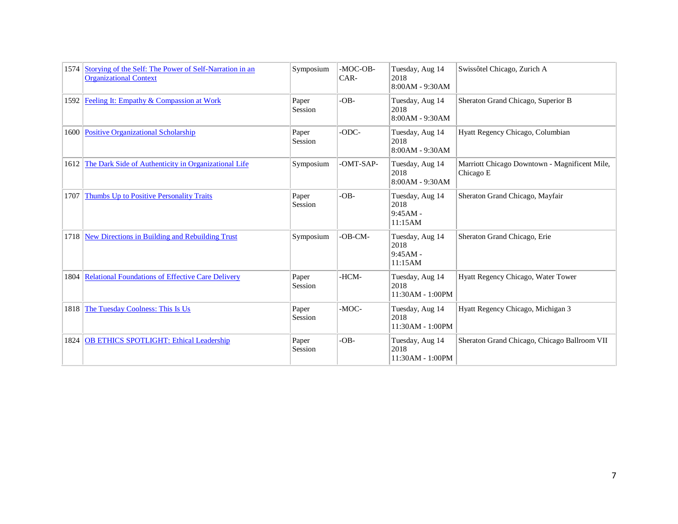|      | 1574 Storying of the Self: The Power of Self-Narration in an<br><b>Organizational Context</b> | Symposium        | -MOC-OB-<br>CAR- | Tuesday, Aug 14<br>2018<br>8:00AM - 9:30AM       | Swissôtel Chicago, Zurich A                                |
|------|-----------------------------------------------------------------------------------------------|------------------|------------------|--------------------------------------------------|------------------------------------------------------------|
|      | 1592   Feeling It: Empathy & Compassion at Work                                               | Paper<br>Session | $-OB -$          | Tuesday, Aug 14<br>2018<br>8:00AM - 9:30AM       | Sheraton Grand Chicago, Superior B                         |
|      | 1600 Positive Organizational Scholarship                                                      | Paper<br>Session | -ODC-            | Tuesday, Aug 14<br>2018<br>8:00AM - 9:30AM       | Hyatt Regency Chicago, Columbian                           |
| 1612 | The Dark Side of Authenticity in Organizational Life                                          | Symposium        | -OMT-SAP-        | Tuesday, Aug 14<br>2018<br>8:00AM - 9:30AM       | Marriott Chicago Downtown - Magnificent Mile,<br>Chicago E |
| 1707 | Thumbs Up to Positive Personality Traits                                                      | Paper<br>Session | $-OB -$          | Tuesday, Aug 14<br>2018<br>$9:45AM -$<br>11:15AM | Sheraton Grand Chicago, Mayfair                            |
| 1718 | New Directions in Building and Rebuilding Trust                                               | Symposium        | $-OB-CM-$        | Tuesday, Aug 14<br>2018<br>$9:45AM -$<br>11:15AM | Sheraton Grand Chicago, Erie                               |
|      | 1804 Relational Foundations of Effective Care Delivery                                        | Paper<br>Session | -HCM-            | Tuesday, Aug 14<br>2018<br>11:30AM - 1:00PM      | Hyatt Regency Chicago, Water Tower                         |
| 1818 | The Tuesday Coolness: This Is Us                                                              | Paper<br>Session | -MOC-            | Tuesday, Aug 14<br>2018<br>11:30AM - 1:00PM      | Hyatt Regency Chicago, Michigan 3                          |
| 1824 | <b>OB ETHICS SPOTLIGHT: Ethical Leadership</b>                                                | Paper<br>Session | $-OB -$          | Tuesday, Aug 14<br>2018<br>11:30AM - 1:00PM      | Sheraton Grand Chicago, Chicago Ballroom VII               |